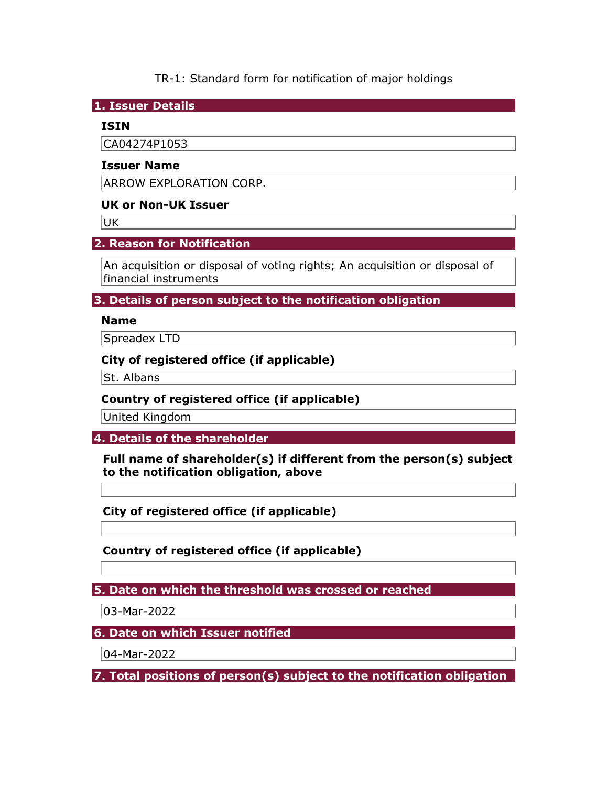TR-1: Standard form for notification of major holdings

1. Issuer Details

## ISIN

CA04274P1053

## Issuer Name

ARROW EXPLORATION CORP.

## UK or Non-UK Issuer

UK

# 2. Reason for Notification

An acquisition or disposal of voting rights; An acquisition or disposal of financial instruments

3. Details of person subject to the notification obligation

## Name

Spreadex LTD

## City of registered office (if applicable)

St. Albans

## Country of registered office (if applicable)

United Kingdom

4. Details of the shareholder

Full name of shareholder(s) if different from the person(s) subject to the notification obligation, above

City of registered office (if applicable)

Country of registered office (if applicable)

5. Date on which the threshold was crossed or reached

03-Mar-2022

6. Date on which Issuer notified

04-Mar-2022

7. Total positions of person(s) subject to the notification obligation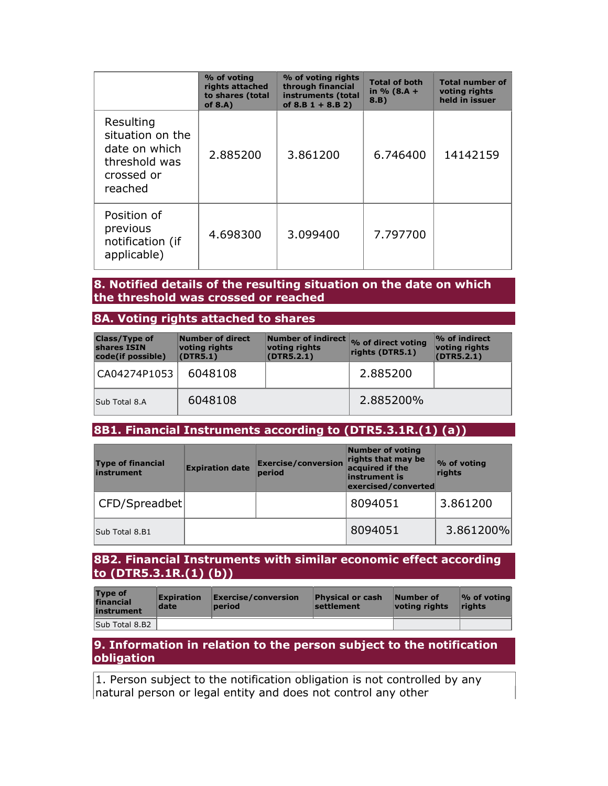|                                                                                          | % of voting<br>rights attached<br>to shares (total<br>of $8.A$ ) | % of voting rights<br>through financial<br>instruments (total<br>of $8.B 1 + 8.B 2)$ | <b>Total of both</b><br>in $% (8.A +$<br>8.B) | <b>Total number of</b><br>voting rights<br>held in issuer |
|------------------------------------------------------------------------------------------|------------------------------------------------------------------|--------------------------------------------------------------------------------------|-----------------------------------------------|-----------------------------------------------------------|
| Resulting<br>situation on the<br>date on which<br>threshold was<br>crossed or<br>reached | 2.885200                                                         | 3.861200                                                                             | 6.746400                                      | 14142159                                                  |
| Position of<br>previous<br>notification (if<br>applicable)                               | 4.698300                                                         | 3.099400                                                                             | 7.797700                                      |                                                           |

### 8. Notified details of the resulting situation on the date on which the threshold was crossed or reached

### 8A. Voting rights attached to shares

| <b>Class/Type of</b><br>shares ISIN<br>code(if possible) | Number of direct<br>voting rights<br>(DTR5.1) | voting rights<br>(DTR5.2.1) | Number of indirect % of direct voting<br>rights (DTR5.1) | $\%$ of indirect<br>voting rights<br>(DTR5.2.1) |
|----------------------------------------------------------|-----------------------------------------------|-----------------------------|----------------------------------------------------------|-------------------------------------------------|
| CA04274P1053                                             | 6048108                                       |                             | 2.885200                                                 |                                                 |
| Sub Total 8.A                                            | 6048108                                       |                             | 2.885200%                                                |                                                 |

# 8B1. Financial Instruments according to (DTR5.3.1R.(1) (a))

| <b>Type of financial</b><br>instrument | <b>Expiration date</b> | <b>Exercise/conversion</b><br>period | <b>Number of voting</b><br>rights that may be<br>acquired if the<br>instrument is<br>exercised/converted | % of voting<br>rights |
|----------------------------------------|------------------------|--------------------------------------|----------------------------------------------------------------------------------------------------------|-----------------------|
| CFD/Spreadbet                          |                        |                                      | 8094051                                                                                                  | 3.861200              |
| Sub Total 8.B1                         |                        |                                      | 8094051                                                                                                  | 3.861200%             |

### 8B2. Financial Instruments with similar economic effect according to (DTR5.3.1R.(1) (b))

| <b>Type of</b><br>financial<br>instrument | <b>Expiration</b><br>date | Exercise/conversion<br>period | <b>Physical or cash</b><br>settlement | Number of<br>votina riahts | $\mathcal{O}_0$ of voting<br><b>rights</b> |
|-------------------------------------------|---------------------------|-------------------------------|---------------------------------------|----------------------------|--------------------------------------------|
| Sub Total 8.B2                            |                           |                               |                                       |                            |                                            |

### 9. Information in relation to the person subject to the notification obligation

1. Person subject to the notification obligation is not controlled by any natural person or legal entity and does not control any other